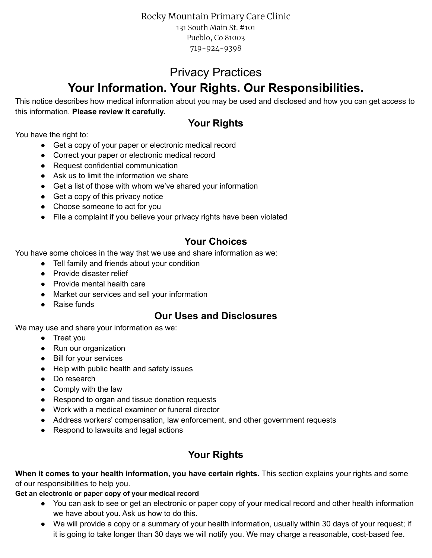Rocky Mountain Primary Care Clinic 131 South Main St. #101 Pueblo, Co 81003 719-924-9398

# Privacy Practices

# **Your Information. Your Rights. Our Responsibilities.**

This notice describes how medical information about you may be used and disclosed and how you can get access to this information. **Please review it carefully.**

# **Your Rights**

You have the right to:

- Get a copy of your paper or electronic medical record
- Correct your paper or electronic medical record
- Request confidential communication
- Ask us to limit the information we share
- Get a list of those with whom we've shared your information
- Get a copy of this privacy notice
- Choose someone to act for you
- File a complaint if you believe your privacy rights have been violated

# **Your Choices**

You have some choices in the way that we use and share information as we:

- Tell family and friends about your condition
- Provide disaster relief
- Provide mental health care
- Market our services and sell your information
- Raise funds

# **Our Uses and Disclosures**

We may use and share your information as we:

- Treat you
- Run our organization
- Bill for your services
- Help with public health and safety issues
- Do research
- Comply with the law
- Respond to organ and tissue donation requests
- Work with a medical examiner or funeral director
- Address workers' compensation, law enforcement, and other government requests
- Respond to lawsuits and legal actions

# **Your Rights**

**When it comes to your health information, you have certain rights.** This section explains your rights and some of our responsibilities to help you.

#### **Get an electronic or paper copy of your medical record**

- You can ask to see or get an electronic or paper copy of your medical record and other health information we have about you. Ask us how to do this.
- We will provide a copy or a summary of your health information, usually within 30 days of your request; if it is going to take longer than 30 days we will notify you. We may charge a reasonable, cost-based fee.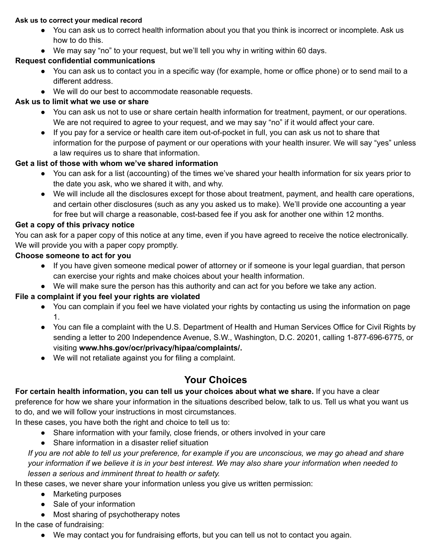#### **Ask us to correct your medical record**

- You can ask us to correct health information about you that you think is incorrect or incomplete. Ask us how to do this.
- We may say "no" to your request, but we'll tell you why in writing within 60 days.

### **Request confidential communications**

- You can ask us to contact you in a specific way (for example, home or office phone) or to send mail to a different address.
- We will do our best to accommodate reasonable requests.

### **Ask us to limit what we use or share**

- You can ask us not to use or share certain health information for treatment, payment, or our operations. We are not required to agree to your request, and we may say "no" if it would affect your care.
- If you pay for a service or health care item out-of-pocket in full, you can ask us not to share that information for the purpose of payment or our operations with your health insurer. We will say "yes" unless a law requires us to share that information.

### **Get a list of those with whom we've shared information**

- You can ask for a list (accounting) of the times we've shared your health information for six years prior to the date you ask, who we shared it with, and why.
- We will include all the disclosures except for those about treatment, payment, and health care operations, and certain other disclosures (such as any you asked us to make). We'll provide one accounting a year for free but will charge a reasonable, cost-based fee if you ask for another one within 12 months.

### **Get a copy of this privacy notice**

You can ask for a paper copy of this notice at any time, even if you have agreed to receive the notice electronically. We will provide you with a paper copy promptly.

#### **Choose someone to act for you**

- If you have given someone medical power of attorney or if someone is your legal guardian, that person can exercise your rights and make choices about your health information.
- We will make sure the person has this authority and can act for you before we take any action.

### **File a complaint if you feel your rights are violated**

- You can complain if you feel we have violated your rights by contacting us using the information on page 1.
- You can file a complaint with the U.S. Department of Health and Human Services Office for Civil Rights by sending a letter to 200 Independence Avenue, S.W., Washington, D.C. 20201, calling 1-877-696-6775, or visiting **www.hhs.gov/ocr/privacy/hipaa/complaints/.**
- We will not retaliate against you for filing a complaint.

# **Your Choices**

### **For certain health information, you can tell us your choices about what we share.** If you have a clear

preference for how we share your information in the situations described below, talk to us. Tell us what you want us to do, and we will follow your instructions in most circumstances.

In these cases, you have both the right and choice to tell us to:

- Share information with your family, close friends, or others involved in your care
- Share information in a disaster relief situation

If you are not able to tell us your preference, for example if you are unconscious, we may go ahead and share your information if we believe it is in your best interest. We may also share your information when needed to *lessen a serious and imminent threat to health or safety.*

In these cases, we never share your information unless you give us written permission:

- Marketing purposes
- Sale of your information
- Most sharing of psychotherapy notes

### In the case of fundraising:

● We may contact you for fundraising efforts, but you can tell us not to contact you again.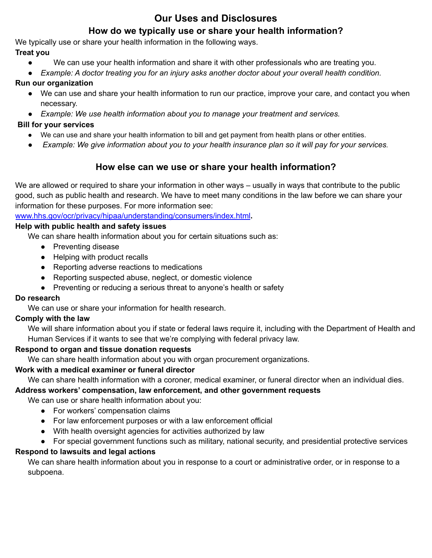### **Our Uses and Disclosures**

### **How do we typically use or share your health information?**

We typically use or share your health information in the following ways.

### **Treat you**

- We can use your health information and share it with other professionals who are treating you.
- *Example: A doctor treating you for an injury asks another doctor about your overall health condition.*

### **Run our organization**

- We can use and share your health information to run our practice, improve your care, and contact you when necessary.
- *Example: We use health information about you to manage your treatment and services.*

### **Bill for your services**

- We can use and share your health information to bill and get payment from health plans or other entities.
- Example: We give information about you to your health insurance plan so it will pay for your services.

### **How else can we use or share your health information?**

We are allowed or required to share your information in other ways – usually in ways that contribute to the public good, such as public health and research. We have to meet many conditions in the law before we can share your information for these purposes. For more information see[:](http://www.hhs.gov/ocr/privacy/hipaa/understanding/consumers/index.html)

[www.hhs.gov/ocr/privacy/hipaa/understanding/consumers/index.html](http://www.hhs.gov/ocr/privacy/hipaa/understanding/consumers/index.html)**.**

### **Help with public health and safety issues**

We can share health information about you for certain situations such as:

- Preventing disease
- Helping with product recalls
- Reporting adverse reactions to medications
- Reporting suspected abuse, neglect, or domestic violence
- Preventing or reducing a serious threat to anyone's health or safety

### **Do research**

We can use or share your information for health research.

### **Comply with the law**

We will share information about you if state or federal laws require it, including with the Department of Health and Human Services if it wants to see that we're complying with federal privacy law.

### **Respond to organ and tissue donation requests**

We can share health information about you with organ procurement organizations.

### **Work with a medical examiner or funeral director**

We can share health information with a coroner, medical examiner, or funeral director when an individual dies.

### **Address workers' compensation, law enforcement, and other government requests**

We can use or share health information about you:

- For workers' compensation claims
- For law enforcement purposes or with a law enforcement official
- With health oversight agencies for activities authorized by law
- For special government functions such as military, national security, and presidential protective services

### **Respond to lawsuits and legal actions**

We can share health information about you in response to a court or administrative order, or in response to a subpoena.